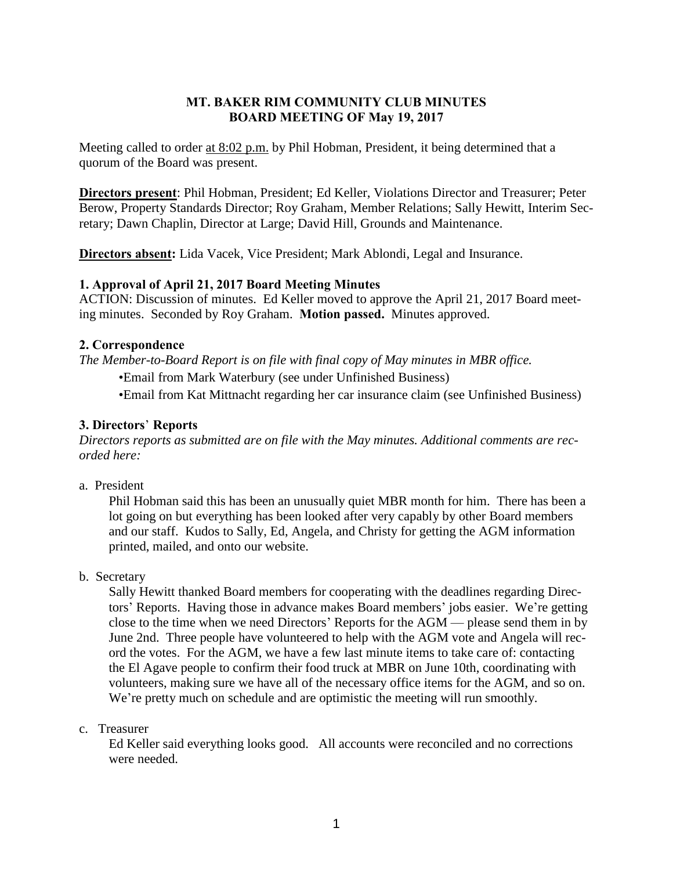## **MT. BAKER RIM COMMUNITY CLUB MINUTES BOARD MEETING OF May 19, 2017**

Meeting called to order at 8:02 p.m. by Phil Hobman, President, it being determined that a quorum of the Board was present.

**Directors present**: Phil Hobman, President; Ed Keller, Violations Director and Treasurer; Peter Berow, Property Standards Director; Roy Graham, Member Relations; Sally Hewitt, Interim Secretary; Dawn Chaplin, Director at Large; David Hill, Grounds and Maintenance.

**Directors absent:** Lida Vacek, Vice President; Mark Ablondi, Legal and Insurance.

## **1. Approval of April 21, 2017 Board Meeting Minutes**

ACTION: Discussion of minutes. Ed Keller moved to approve the April 21, 2017 Board meeting minutes. Seconded by Roy Graham. **Motion passed.** Minutes approved.

## **2. Correspondence**

*The Member-to-Board Report is on file with final copy of May minutes in MBR office.*

•Email from Mark Waterbury (see under Unfinished Business)

•Email from Kat Mittnacht regarding her car insurance claim (see Unfinished Business)

## **3. Directors**' **Reports**

*Directors reports as submitted are on file with the May minutes. Additional comments are recorded here:*

a. President

Phil Hobman said this has been an unusually quiet MBR month for him. There has been a lot going on but everything has been looked after very capably by other Board members and our staff. Kudos to Sally, Ed, Angela, and Christy for getting the AGM information printed, mailed, and onto our website.

b. Secretary

Sally Hewitt thanked Board members for cooperating with the deadlines regarding Directors' Reports. Having those in advance makes Board members' jobs easier. We're getting close to the time when we need Directors' Reports for the AGM — please send them in by June 2nd. Three people have volunteered to help with the AGM vote and Angela will record the votes. For the AGM, we have a few last minute items to take care of: contacting the El Agave people to confirm their food truck at MBR on June 10th, coordinating with volunteers, making sure we have all of the necessary office items for the AGM, and so on. We're pretty much on schedule and are optimistic the meeting will run smoothly.

### c. Treasurer

Ed Keller said everything looks good. All accounts were reconciled and no corrections were needed.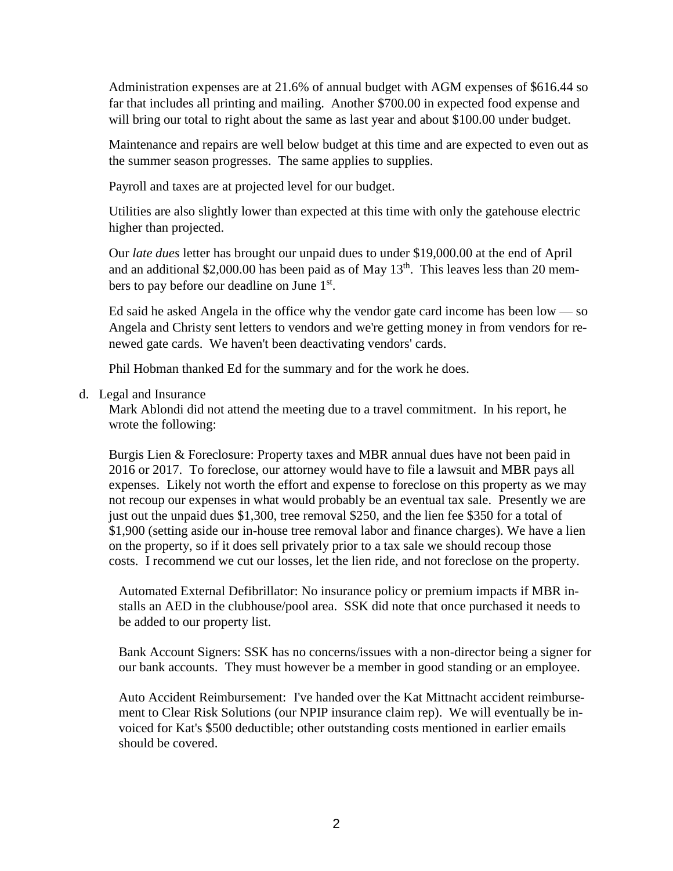Administration expenses are at 21.6% of annual budget with AGM expenses of \$616.44 so far that includes all printing and mailing. Another \$700.00 in expected food expense and will bring our total to right about the same as last year and about \$100.00 under budget.

Maintenance and repairs are well below budget at this time and are expected to even out as the summer season progresses. The same applies to supplies.

Payroll and taxes are at projected level for our budget.

Utilities are also slightly lower than expected at this time with only the gatehouse electric higher than projected.

Our *late dues* letter has brought our unpaid dues to under \$19,000.00 at the end of April and an additional \$2,000.00 has been paid as of May  $13<sup>th</sup>$ . This leaves less than 20 members to pay before our deadline on June 1<sup>st</sup>.

Ed said he asked Angela in the office why the vendor gate card income has been  $low - so$ Angela and Christy sent letters to vendors and we're getting money in from vendors for renewed gate cards. We haven't been deactivating vendors' cards.

Phil Hobman thanked Ed for the summary and for the work he does.

## d. Legal and Insurance

Mark Ablondi did not attend the meeting due to a travel commitment. In his report, he wrote the following:

Burgis Lien & Foreclosure: Property taxes and MBR annual dues have not been paid in 2016 or 2017. To foreclose, our attorney would have to file a lawsuit and MBR pays all expenses. Likely not worth the effort and expense to foreclose on this property as we may not recoup our expenses in what would probably be an eventual tax sale. Presently we are just out the unpaid dues \$1,300, tree removal \$250, and the lien fee \$350 for a total of \$1,900 (setting aside our in-house tree removal labor and finance charges). We have a lien on the property, so if it does sell privately prior to a tax sale we should recoup those costs. I recommend we cut our losses, let the lien ride, and not foreclose on the property.

Automated External Defibrillator: No insurance policy or premium impacts if MBR installs an AED in the clubhouse/pool area. SSK did note that once purchased it needs to be added to our property list.

Bank Account Signers: SSK has no concerns/issues with a non-director being a signer for our bank accounts. They must however be a member in good standing or an employee.

Auto Accident Reimbursement: I've handed over the Kat Mittnacht accident reimbursement to Clear Risk Solutions (our NPIP insurance claim rep). We will eventually be invoiced for Kat's \$500 deductible; other outstanding costs mentioned in earlier emails should be covered.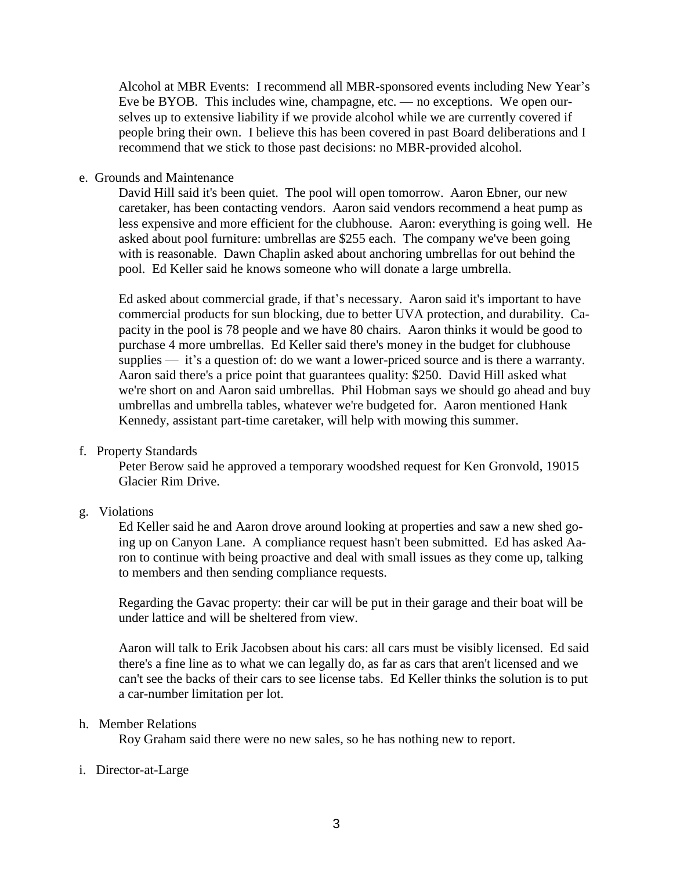Alcohol at MBR Events: I recommend all MBR-sponsored events including New Year's Eve be BYOB. This includes wine, champagne, etc. — no exceptions. We open ourselves up to extensive liability if we provide alcohol while we are currently covered if people bring their own. I believe this has been covered in past Board deliberations and I recommend that we stick to those past decisions: no MBR-provided alcohol.

e. Grounds and Maintenance

David Hill said it's been quiet. The pool will open tomorrow. Aaron Ebner, our new caretaker, has been contacting vendors. Aaron said vendors recommend a heat pump as less expensive and more efficient for the clubhouse. Aaron: everything is going well. He asked about pool furniture: umbrellas are \$255 each. The company we've been going with is reasonable. Dawn Chaplin asked about anchoring umbrellas for out behind the pool. Ed Keller said he knows someone who will donate a large umbrella.

Ed asked about commercial grade, if that's necessary. Aaron said it's important to have commercial products for sun blocking, due to better UVA protection, and durability. Capacity in the pool is 78 people and we have 80 chairs. Aaron thinks it would be good to purchase 4 more umbrellas. Ed Keller said there's money in the budget for clubhouse supplies — it's a question of: do we want a lower-priced source and is there a warranty. Aaron said there's a price point that guarantees quality: \$250. David Hill asked what we're short on and Aaron said umbrellas. Phil Hobman says we should go ahead and buy umbrellas and umbrella tables, whatever we're budgeted for. Aaron mentioned Hank Kennedy, assistant part-time caretaker, will help with mowing this summer.

f. Property Standards

Peter Berow said he approved a temporary woodshed request for Ken Gronvold, 19015 Glacier Rim Drive.

### g. Violations

Ed Keller said he and Aaron drove around looking at properties and saw a new shed going up on Canyon Lane. A compliance request hasn't been submitted. Ed has asked Aaron to continue with being proactive and deal with small issues as they come up, talking to members and then sending compliance requests.

Regarding the Gavac property: their car will be put in their garage and their boat will be under lattice and will be sheltered from view.

Aaron will talk to Erik Jacobsen about his cars: all cars must be visibly licensed. Ed said there's a fine line as to what we can legally do, as far as cars that aren't licensed and we can't see the backs of their cars to see license tabs. Ed Keller thinks the solution is to put a car-number limitation per lot.

#### h. Member Relations

Roy Graham said there were no new sales, so he has nothing new to report.

### i. Director-at-Large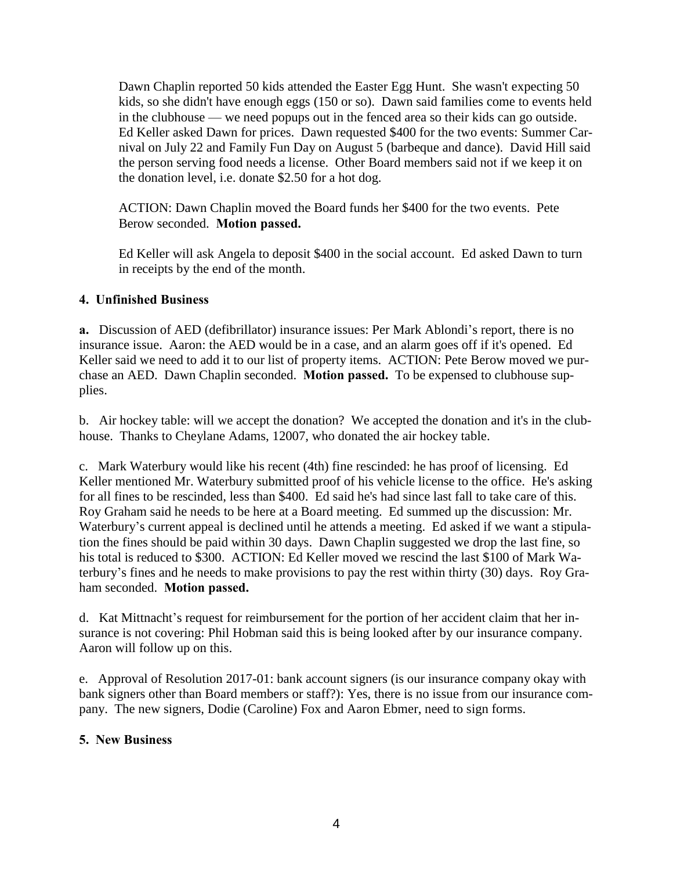Dawn Chaplin reported 50 kids attended the Easter Egg Hunt. She wasn't expecting 50 kids, so she didn't have enough eggs (150 or so). Dawn said families come to events held in the clubhouse — we need popups out in the fenced area so their kids can go outside. Ed Keller asked Dawn for prices. Dawn requested \$400 for the two events: Summer Carnival on July 22 and Family Fun Day on August 5 (barbeque and dance). David Hill said the person serving food needs a license. Other Board members said not if we keep it on the donation level, i.e. donate \$2.50 for a hot dog.

ACTION: Dawn Chaplin moved the Board funds her \$400 for the two events. Pete Berow seconded. **Motion passed.**

Ed Keller will ask Angela to deposit \$400 in the social account. Ed asked Dawn to turn in receipts by the end of the month.

# **4. Unfinished Business**

**a.** Discussion of AED (defibrillator) insurance issues: Per Mark Ablondi's report, there is no insurance issue. Aaron: the AED would be in a case, and an alarm goes off if it's opened. Ed Keller said we need to add it to our list of property items. ACTION: Pete Berow moved we purchase an AED. Dawn Chaplin seconded. **Motion passed.** To be expensed to clubhouse supplies.

b. Air hockey table: will we accept the donation? We accepted the donation and it's in the clubhouse. Thanks to Cheylane Adams, 12007, who donated the air hockey table.

c. Mark Waterbury would like his recent (4th) fine rescinded: he has proof of licensing. Ed Keller mentioned Mr. Waterbury submitted proof of his vehicle license to the office. He's asking for all fines to be rescinded, less than \$400. Ed said he's had since last fall to take care of this. Roy Graham said he needs to be here at a Board meeting. Ed summed up the discussion: Mr. Waterbury's current appeal is declined until he attends a meeting. Ed asked if we want a stipulation the fines should be paid within 30 days. Dawn Chaplin suggested we drop the last fine, so his total is reduced to \$300. ACTION: Ed Keller moved we rescind the last \$100 of Mark Waterbury's fines and he needs to make provisions to pay the rest within thirty (30) days. Roy Graham seconded. **Motion passed.** 

d. Kat Mittnacht's request for reimbursement for the portion of her accident claim that her insurance is not covering: Phil Hobman said this is being looked after by our insurance company. Aaron will follow up on this.

e. Approval of Resolution 2017-01: bank account signers (is our insurance company okay with bank signers other than Board members or staff?): Yes, there is no issue from our insurance company. The new signers, Dodie (Caroline) Fox and Aaron Ebmer, need to sign forms.

## **5. New Business**